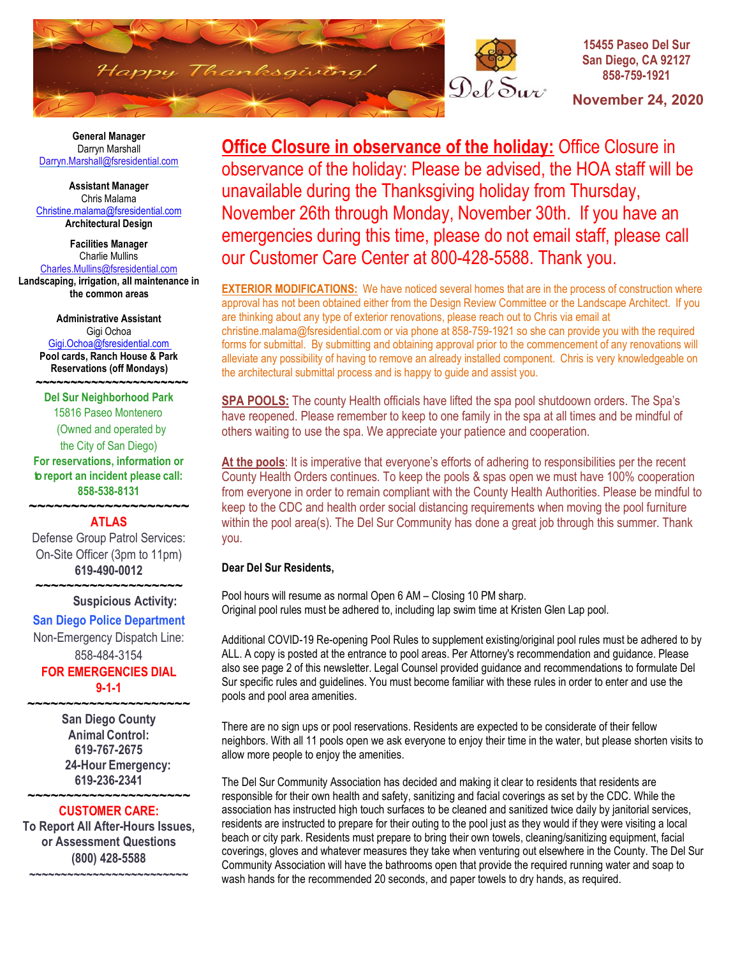

Del Sur

### **15455 Paseo Del Sur San Diego, CA 92127 858-759-1921**

**November 24, 2020** 

 **General Manager** Darryn Marshall Darryn[.Ma](mailto:Darryn.Marshall@fsresidential.com)rshall@fsresidential.com

**Assistant Manager** Chris Malama [Christine.malama@fsresidential.com](mailto:Christine.malama@fsresidential.com) **Architectural Design**

**Facilities Manager** Charlie Mullins [Charles.Mullins@fsresidential.com](mailto:Charles.Mullins@fsresidential.com) **Landscaping, irrigation, all maintenance in the common areas**

> **Administrative Assistant**  Gigi Ochoa [Gigi.Ochoa@fsresidential.com](mailto:Gigi.Ochoa@fsresidential.com) **Pool cards, Ranch House & Park Reservations (off Mondays)**

 **~~~~~~~~~~~~~~~~~~~~~~ Del Sur Neighborhood Park** 15816 Paseo Montenero (Owned and operated by the City of San Diego) **For reservations, information or to report an incident please call: 858-538-8131** 

## **~~~~~~~~~~~~~~~~~~~ ATLAS**

Defense Group Patrol Services: On-Site Officer (3pm to 11pm) **619-490-0012** 

**~~~~~~~~~~~~~~~~~~~**

### **Suspicious Activity:**

## **San Diego Police Department**

Non-Emergency Dispatch Line: 858-484-3154

**FOR EMERGENCIES DIAL 9-1-1**

**~~~~~~~~~~~~~~~~~~~~~ San Diego County Animal Control: 619-767-2675 24-Hour Emergency: 619-236-2341** 

#### **~~~~~~~~~~~~~~~~~~~~~ CUSTOMER CARE:**

**To Report All After-Hours Issues, or Assessment Questions (800) 428-5588 ~~~~~~~~~~~~~~~~~~~~~~~~~**

**Office Closure in observance of the holiday:** Office Closure in observance of the holiday: Please be advised, the HOA staff will be unavailable during the Thanksgiving holiday from Thursday, November 26th through Monday, November 30th. If you have an emergencies during this time, please do not email staff, please call our Customer Care Center at 800-428-5588. Thank you.

**EXTERIOR MODIFICATIONS:** We have noticed several homes that are in the process of construction where approval has not been obtained either from the Design Review Committee or the Landscape Architect. If you are thinking about any type of exterior renovations, please reach out to Chris via email at christine.malama@fsresidential.com or via phone at 858-759-1921 so she can provide you with the required forms for submittal. By submitting and obtaining approval prior to the commencement of any renovations will alleviate any possibility of having to remove an already installed component. Chris is very knowledgeable on the architectural submittal process and is happy to guide and assist you.

**SPA POOLS:** The county Health officials have lifted the spa pool shutdoown orders. The Spa's have reopened. Please remember to keep to one family in the spa at all times and be mindful of others waiting to use the spa. We appreciate your patience and cooperation.

**At the pools**: It is imperative that everyone's efforts of adhering to responsibilities per the recent County Health Orders continues. To keep the pools & spas open we must have 100% cooperation from everyone in order to remain compliant with the County Health Authorities. Please be mindful to keep to the CDC and health order social distancing requirements when moving the pool furniture within the pool area(s). The Del Sur Community has done a great job through this summer. Thank you.

## **Dear Del Sur Residents,**

Pool hours will resume as normal Open 6 AM – Closing 10 PM sharp. Original pool rules must be adhered to, including lap swim time at Kristen Glen Lap pool.

Additional COVID-19 Re-opening Pool Rules to supplement existing/original pool rules must be adhered to by ALL. A copy is posted at the entrance to pool areas. Per Attorney's recommendation and guidance. Please also see page 2 of this newsletter. Legal Counsel provided guidance and recommendations to formulate Del Sur specific rules and guidelines. You must become familiar with these rules in order to enter and use the pools and pool area amenities.

There are no sign ups or pool reservations. Residents are expected to be considerate of their fellow neighbors. With all 11 pools open we ask everyone to enjoy their time in the water, but please shorten visits to allow more people to enjoy the amenities.

The Del Sur Community Association has decided and making it clear to residents that residents are responsible for their own health and safety, sanitizing and facial coverings as set by the CDC. While the association has instructed high touch surfaces to be cleaned and sanitized twice daily by janitorial services, residents are instructed to prepare for their outing to the pool just as they would if they were visiting a local beach or city park. Residents must prepare to bring their own towels, cleaning/sanitizing equipment, facial coverings, gloves and whatever measures they take when venturing out elsewhere in the County. The Del Sur Community Association will have the bathrooms open that provide the required running water and soap to wash hands for the recommended 20 seconds, and paper towels to dry hands, as required.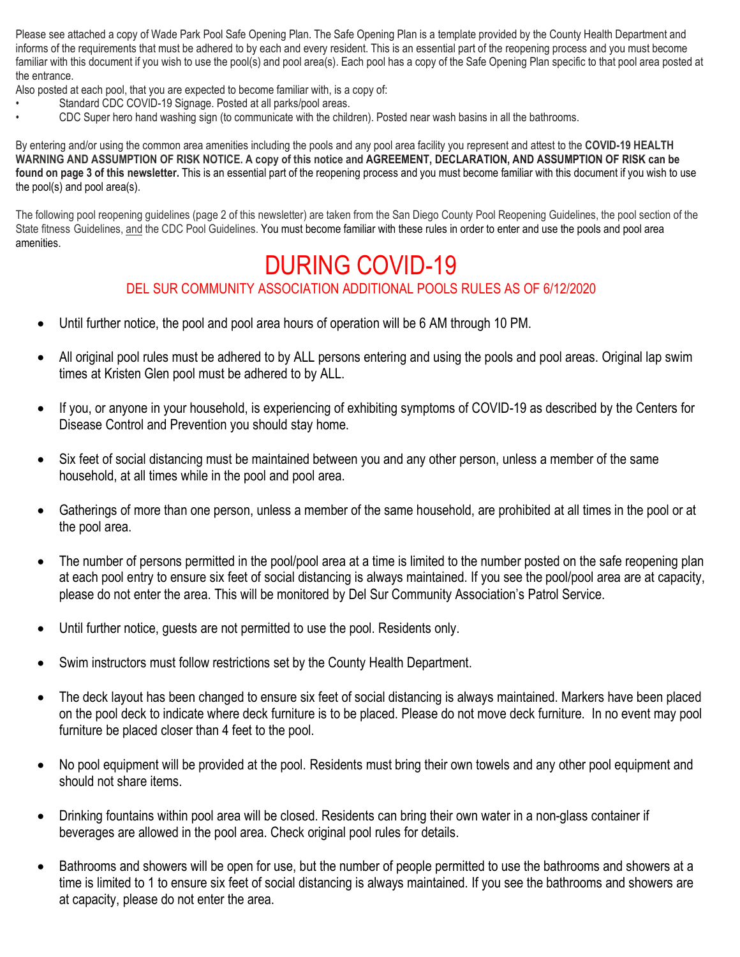Please see attached a copy of Wade Park Pool Safe Opening Plan. The Safe Opening Plan is a template provided by the County Health Department and informs of the requirements that must be adhered to by each and every resident. This is an essential part of the reopening process and you must become familiar with this document if you wish to use the pool(s) and pool area(s). Each pool has a copy of the Safe Opening Plan specific to that pool area posted at the entrance.

Also posted at each pool, that you are expected to become familiar with, is a copy of:

- Standard CDC COVID-19 Signage. Posted at all parks/pool areas.
- CDC Super hero hand washing sign (to communicate with the children). Posted near wash basins in all the bathrooms.

By entering and/or using the common area amenities including the pools and any pool area facility you represent and attest to the **COVID-19 HEALTH WARNING AND ASSUMPTION OF RISK NOTICE. A copy of this notice and AGREEMENT, DECLARATION, AND ASSUMPTION OF RISK can be found on page 3 of this newsletter.** This is an essential part of the reopening process and you must become familiar with this document if you wish to use the pool(s) and pool area(s).

The following pool reopening guidelines (page 2 of this newsletter) are taken from the San Diego County Pool Reopening Guidelines, the pool section of the State fitness Guidelines, and the CDC Pool Guidelines. You must become familiar with these rules in order to enter and use the pools and pool area amenities.

# DURING COVID-19 DEL SUR COMMUNITY ASSOCIATION ADDITIONAL POOLS RULES AS OF 6/12/2020

- Until further notice, the pool and pool area hours of operation will be 6 AM through 10 PM.
- All original pool rules must be adhered to by ALL persons entering and using the pools and pool areas. Original lap swim times at Kristen Glen pool must be adhered to by ALL.
- If you, or anyone in your household, is experiencing of exhibiting symptoms of COVID-19 as described by the Centers for Disease Control and Prevention you should stay home.
- Six feet of social distancing must be maintained between you and any other person, unless a member of the same household, at all times while in the pool and pool area.
- Gatherings of more than one person, unless a member of the same household, are prohibited at all times in the pool or at the pool area.
- The number of persons permitted in the pool/pool area at a time is limited to the number posted on the safe reopening plan at each pool entry to ensure six feet of social distancing is always maintained. If you see the pool/pool area are at capacity, please do not enter the area. This will be monitored by Del Sur Community Association's Patrol Service.
- Until further notice, quests are not permitted to use the pool. Residents only.
- Swim instructors must follow restrictions set by the County Health Department.
- The deck layout has been changed to ensure six feet of social distancing is always maintained. Markers have been placed on the pool deck to indicate where deck furniture is to be placed. Please do not move deck furniture. In no event may pool furniture be placed closer than 4 feet to the pool.
- No pool equipment will be provided at the pool. Residents must bring their own towels and any other pool equipment and should not share items.
- Drinking fountains within pool area will be closed. Residents can bring their own water in a non-glass container if beverages are allowed in the pool area. Check original pool rules for details.
- Bathrooms and showers will be open for use, but the number of people permitted to use the bathrooms and showers at a time is limited to 1 to ensure six feet of social distancing is always maintained. If you see the bathrooms and showers are at capacity, please do not enter the area.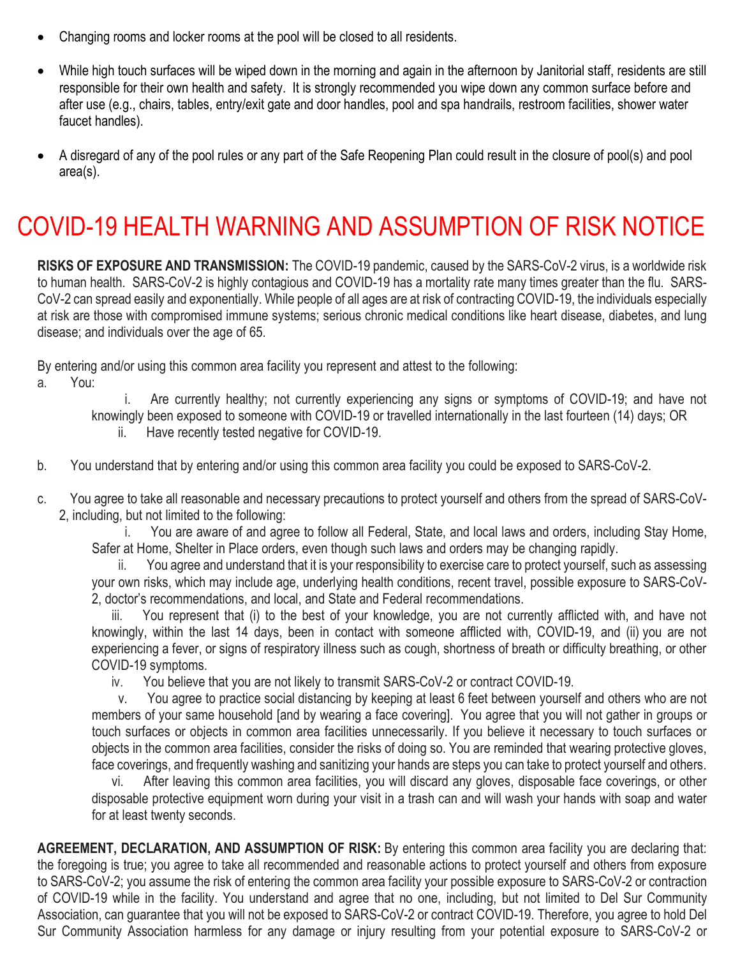- Changing rooms and locker rooms at the pool will be closed to all residents.
- While high touch surfaces will be wiped down in the morning and again in the afternoon by Janitorial staff, residents are still responsible for their own health and safety. It is strongly recommended you wipe down any common surface before and after use (e.g., chairs, tables, entry/exit gate and door handles, pool and spa handrails, restroom facilities, shower water faucet handles).
- A disregard of any of the pool rules or any part of the Safe Reopening Plan could result in the closure of pool(s) and pool area(s).

# COVID-19 HEALTH WARNING AND ASSUMPTION OF RISK NOTICE

**RISKS OF EXPOSURE AND TRANSMISSION:** The COVID-19 pandemic, caused by the SARS-CoV-2 virus, is a worldwide risk to human health. SARS-CoV-2 is highly contagious and COVID-19 has a mortality rate many times greater than the flu. SARS-CoV-2 can spread easily and exponentially. While people of all ages are at risk of contracting COVID-19, the individuals especially at risk are those with compromised immune systems; serious chronic medical conditions like heart disease, diabetes, and lung disease; and individuals over the age of 65.

By entering and/or using this common area facility you represent and attest to the following:

a. You:

 i. Are currently healthy; not currently experiencing any signs or symptoms of COVID-19; and have not knowingly been exposed to someone with COVID-19 or travelled internationally in the last fourteen (14) days; OR ii. Have recently tested negative for COVID-19.

- b. You understand that by entering and/or using this common area facility you could be exposed to SARS-CoV-2.
- c. You agree to take all reasonable and necessary precautions to protect yourself and others from the spread of SARS-CoV-2, including, but not limited to the following:

 i. You are aware of and agree to follow all Federal, State, and local laws and orders, including Stay Home, Safer at Home, Shelter in Place orders, even though such laws and orders may be changing rapidly.

 ii. You agree and understand that it is your responsibility to exercise care to protect yourself, such as assessing your own risks, which may include age, underlying health conditions, recent travel, possible exposure to SARS-CoV-2, doctor's recommendations, and local, and State and Federal recommendations.

 iii. You represent that (i) to the best of your knowledge, you are not currently afflicted with, and have not knowingly, within the last 14 days, been in contact with someone afflicted with, COVID-19, and (ii) you are not experiencing a fever, or signs of respiratory illness such as cough, shortness of breath or difficulty breathing, or other COVID-19 symptoms.

iv. You believe that you are not likely to transmit SARS-CoV-2 or contract COVID-19.

 v. You agree to practice social distancing by keeping at least 6 feet between yourself and others who are not members of your same household [and by wearing a face covering]. You agree that you will not gather in groups or touch surfaces or objects in common area facilities unnecessarily. If you believe it necessary to touch surfaces or objects in the common area facilities, consider the risks of doing so. You are reminded that wearing protective gloves, face coverings, and frequently washing and sanitizing your hands are steps you can take to protect yourself and others.

After leaving this common area facilities, you will discard any gloves, disposable face coverings, or other disposable protective equipment worn during your visit in a trash can and will wash your hands with soap and water for at least twenty seconds.

**AGREEMENT, DECLARATION, AND ASSUMPTION OF RISK:** By entering this common area facility you are declaring that: the foregoing is true; you agree to take all recommended and reasonable actions to protect yourself and others from exposure to SARS-CoV-2; you assume the risk of entering the common area facility your possible exposure to SARS-CoV-2 or contraction of COVID-19 while in the facility. You understand and agree that no one, including, but not limited to Del Sur Community Association, can guarantee that you will not be exposed to SARS-CoV-2 or contract COVID-19. Therefore, you agree to hold Del Sur Community Association harmless for any damage or injury resulting from your potential exposure to SARS-CoV-2 or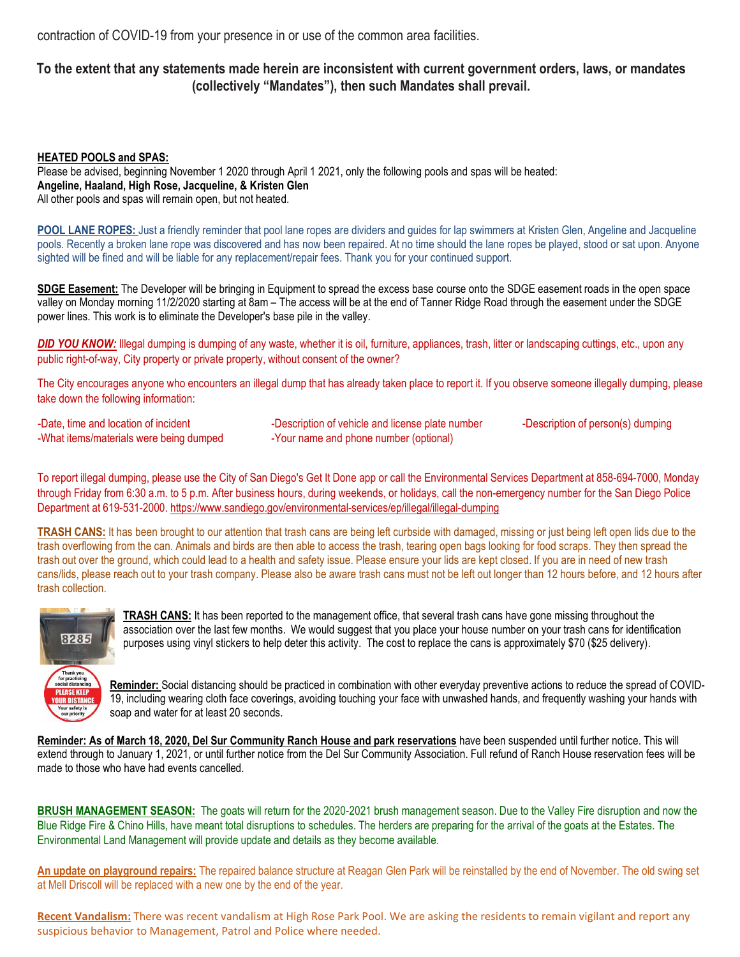contraction of COVID-19 from your presence in or use of the common area facilities.

## To the extent that any statements made herein are inconsistent with current government orders, laws, or mandates **(collectively "Mandates"), then such Mandates shall prevail.**

**HEATED POOLS and SPAS:** Please be advised, beginning November 1 2020 through April 1 2021, only the following pools and spas will be heated: **Angeline, Haaland, High Rose, Jacqueline, & Kristen Glen** All other pools and spas will remain open, but not heated.

**POOL LANE ROPES:** Just a friendly reminder that pool lane ropes are dividers and guides for lap swimmers at Kristen Glen, Angeline and Jacqueline pools. Recently a broken lane rope was discovered and has now been repaired. At no time should the lane ropes be played, stood or sat upon. Anyone sighted will be fined and will be liable for any replacement/repair fees. Thank you for your continued support.

**SDGE Easement:** The Developer will be bringing in Equipment to spread the excess base course onto the SDGE easement roads in the open space valley on Monday morning 11/2/2020 starting at 8am – The access will be at the end of Tanner Ridge Road through the easement under the SDGE power lines. This work is to eliminate the Developer's base pile in the valley.

*DID YOU KNOW:* Illegal dumping is dumping of any waste, whether it is oil, furniture, appliances, trash, litter or landscaping cuttings, etc., upon any public right-of-way, City property or private property, without consent of the owner?

The City encourages anyone who encounters an illegal dump that has already taken place to report it. If you observe someone illegally dumping, please take down the following information:

-Date, time and location of incident -What items/materials were being dumped

-Description of vehicle and license plate number -Your name and phone number (optional)

-Description of person(s) dumping

To report illegal dumping, please use the City of San Diego's Get It Done app or call the Environmental Services Department at 858-694-7000, Monday through Friday from 6:30 a.m. to 5 p.m. After business hours, during weekends, or holidays, call the non-emergency number for the San Diego Police Department at 619-531-2000.<https://www.sandiego.gov/environmental-services/ep/illegal/illegal-dumping>

**TRASH CANS:** It has been brought to our attention that trash cans are being left curbside with damaged, missing or just being left open lids due to the trash overflowing from the can. Animals and birds are then able to access the trash, tearing open bags looking for food scraps. They then spread the trash out over the ground, which could lead to a health and safety issue. Please ensure your lids are kept closed. If you are in need of new trash cans/lids, please reach out to your trash company. Please also be aware trash cans must not be left out longer than 12 hours before, and 12 hours after trash collection.



**TRASH CANS:** It has been reported to the management office, that several trash cans have gone missing throughout the association over the last few months. We would suggest that you place your house number on your trash cans for identification purposes using vinyl stickers to help deter this activity. The cost to replace the cans is approximately \$70 (\$25 delivery).

**Reminder:** Social distancing should be practiced in combination with other everyday preventive actions to reduce the spread of COVID-19, including wearing cloth face coverings, avoiding touching your face with unwashed hands, and frequently washing your hands with soap and water for at least 20 seconds.

**Reminder: As of March 18, 2020, Del Sur Community Ranch House and park reservations** have been suspended until further notice. This will extend through to January 1, 2021, or until further notice from the Del Sur Community Association. Full refund of Ranch House reservation fees will be made to those who have had events cancelled.

**BRUSH MANAGEMENT SEASON:** The goats will return for the 2020-2021 brush management season. Due to the Valley Fire disruption and now the Blue Ridge Fire & Chino Hills, have meant total disruptions to schedules. The herders are preparing for the arrival of the goats at the Estates. The Environmental Land Management will provide update and details as they become available.

**An update on playground repairs:** The repaired balance structure at Reagan Glen Park will be reinstalled by the end of November. The old swing set at Mell Driscoll will be replaced with a new one by the end of the year.

**Recent Vandalism:** There was recent vandalism at High Rose Park Pool. We are asking the residents to remain vigilant and report any suspicious behavior to Management, Patrol and Police where needed.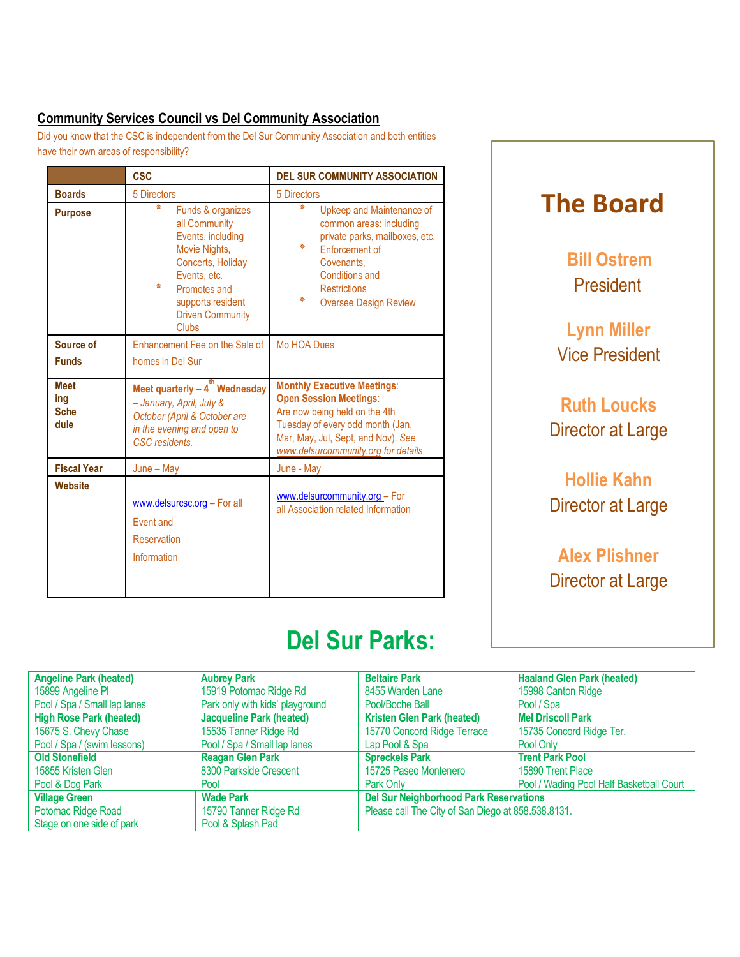# **Community Services Council vs Del Community Association**

Did you know that the CSC is independent from the Del Sur Community Association and both entities have their own areas of responsibility?

|                                           | <b>CSC</b>                                                                                                                                                                                              | <b>DEL SUR COMMUNITY ASSOCIATION</b>                                                                                                                                                                                  |  |
|-------------------------------------------|---------------------------------------------------------------------------------------------------------------------------------------------------------------------------------------------------------|-----------------------------------------------------------------------------------------------------------------------------------------------------------------------------------------------------------------------|--|
| <b>Boards</b>                             | 5 Directors                                                                                                                                                                                             | 5 Directors                                                                                                                                                                                                           |  |
| <b>Purpose</b>                            | ₩<br>Funds & organizes<br>all Community<br>Events, including<br>Movie Nights,<br>Concerts, Holiday<br>Events, etc.<br>₩<br>Promotes and<br>supports resident<br><b>Driven Community</b><br><b>Clubs</b> | ₩<br>Upkeep and Maintenance of<br>common areas: including<br>private parks, mailboxes, etc.<br>柴<br><b>Enforcement of</b><br>Covenants.<br>Conditions and<br><b>Restrictions</b><br>₩<br><b>Oversee Design Review</b> |  |
| Source of                                 | Enhancement Fee on the Sale of                                                                                                                                                                          | Mo HOA Dues                                                                                                                                                                                                           |  |
| <b>Funds</b>                              | homes in Del Sur                                                                                                                                                                                        |                                                                                                                                                                                                                       |  |
| <b>Meet</b><br>ing<br><b>Sche</b><br>dule | Meet quarterly $-4^{th}$ Wednesday<br>- January, April, July &<br>October (April & October are<br>in the evening and open to<br>CSC residents.                                                          | <b>Monthly Executive Meetings:</b><br><b>Open Session Meetings:</b><br>Are now being held on the 4th<br>Tuesday of every odd month (Jan,<br>Mar, May, Jul, Sept, and Nov). See<br>www.delsurcommunity.org for details |  |
| <b>Fiscal Year</b>                        | $June - May$                                                                                                                                                                                            | June - May                                                                                                                                                                                                            |  |
| Website                                   | www.delsurcsc.org - For all<br><b>Event and</b><br><b>Reservation</b><br>Information                                                                                                                    | www.delsurcommunity.org - For<br>all Association related Information                                                                                                                                                  |  |

# **The Board**

**Bill Ostrem** President

**Lynn Miller** Vice President

**Ruth Loucks** Director at Large

**Hollie Kahn** Director at Large

**Alex Plishner** Director at Large

# **Del Sur Parks:**

| <b>Angeline Park (heated)</b>  | <b>Aubrey Park</b>              | <b>Beltaire Park</b>                               | <b>Haaland Glen Park (heated)</b>        |
|--------------------------------|---------------------------------|----------------------------------------------------|------------------------------------------|
| 15899 Angeline PI              | 15919 Potomac Ridge Rd          | 8455 Warden Lane                                   | 15998 Canton Ridge                       |
| Pool / Spa / Small lap lanes   | Park only with kids' playground | Pool/Boche Ball                                    | Pool / Spa                               |
| <b>High Rose Park (heated)</b> | <b>Jacqueline Park (heated)</b> | <b>Kristen Glen Park (heated)</b>                  | <b>Mel Driscoll Park</b>                 |
| 15675 S. Chevy Chase           | 15535 Tanner Ridge Rd           | 15770 Concord Ridge Terrace                        | 15735 Concord Ridge Ter.                 |
| Pool / Spa / (swim lessons)    | Pool / Spa / Small lap lanes    | Lap Pool & Spa                                     | Pool Only                                |
| <b>Old Stonefield</b>          | <b>Reagan Glen Park</b>         | <b>Spreckels Park</b>                              | <b>Trent Park Pool</b>                   |
| 15855 Kristen Glen             | 8300 Parkside Crescent          | 15725 Paseo Montenero                              | 15890 Trent Place                        |
| Pool & Dog Park                | Pool                            | Park Only                                          | Pool / Wading Pool Half Basketball Court |
| <b>Village Green</b>           | <b>Wade Park</b>                | <b>Del Sur Neighborhood Park Reservations</b>      |                                          |
| Potomac Ridge Road             | 15790 Tanner Ridge Rd           | Please call The City of San Diego at 858.538.8131. |                                          |
| Stage on one side of park      | Pool & Splash Pad               |                                                    |                                          |